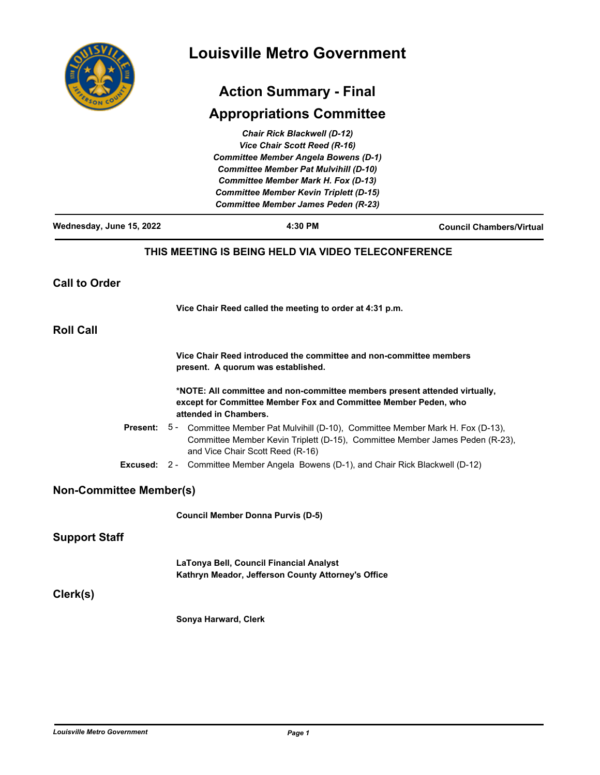| Ē<br>COUN<br>FRSOT |
|--------------------|
|                    |

# **Louisville Metro Government**

# **Action Summary - Final**

# **Appropriations Committee**

|                                              |                                                                                                          | <b>Chair Rick Blackwell (D-12)</b>                                                                                                            |                                                                                                                                                                 |  |
|----------------------------------------------|----------------------------------------------------------------------------------------------------------|-----------------------------------------------------------------------------------------------------------------------------------------------|-----------------------------------------------------------------------------------------------------------------------------------------------------------------|--|
|                                              |                                                                                                          | Vice Chair Scott Reed (R-16)                                                                                                                  |                                                                                                                                                                 |  |
|                                              |                                                                                                          | <b>Committee Member Angela Bowens (D-1)</b>                                                                                                   |                                                                                                                                                                 |  |
| <b>Committee Member Pat Mulvihill (D-10)</b> |                                                                                                          |                                                                                                                                               |                                                                                                                                                                 |  |
|                                              |                                                                                                          | <b>Committee Member Mark H. Fox (D-13)</b>                                                                                                    |                                                                                                                                                                 |  |
|                                              |                                                                                                          | <b>Committee Member Kevin Triplett (D-15)</b>                                                                                                 |                                                                                                                                                                 |  |
|                                              |                                                                                                          | <b>Committee Member James Peden (R-23)</b>                                                                                                    |                                                                                                                                                                 |  |
| Wednesday, June 15, 2022                     |                                                                                                          | 4:30 PM                                                                                                                                       | <b>Council Chambers/Virtual</b>                                                                                                                                 |  |
|                                              |                                                                                                          | THIS MEETING IS BEING HELD VIA VIDEO TELECONFERENCE                                                                                           |                                                                                                                                                                 |  |
| <b>Call to Order</b>                         |                                                                                                          |                                                                                                                                               |                                                                                                                                                                 |  |
|                                              |                                                                                                          | Vice Chair Reed called the meeting to order at 4:31 p.m.                                                                                      |                                                                                                                                                                 |  |
| <b>Roll Call</b>                             |                                                                                                          |                                                                                                                                               |                                                                                                                                                                 |  |
|                                              | Vice Chair Reed introduced the committee and non-committee members<br>present. A quorum was established. |                                                                                                                                               |                                                                                                                                                                 |  |
|                                              | attended in Chambers.                                                                                    | *NOTE: All committee and non-committee members present attended virtually,<br>except for Committee Member Fox and Committee Member Peden, who |                                                                                                                                                                 |  |
| Present:                                     |                                                                                                          | and Vice Chair Scott Reed (R-16)                                                                                                              | 5 - Committee Member Pat Mulvihill (D-10), Committee Member Mark H. Fox (D-13),<br>Committee Member Kevin Triplett (D-15), Committee Member James Peden (R-23), |  |
| Excused:                                     |                                                                                                          | 2 - Committee Member Angela Bowens (D-1), and Chair Rick Blackwell (D-12)                                                                     |                                                                                                                                                                 |  |
| <b>Non-Committee Member(s)</b>               |                                                                                                          |                                                                                                                                               |                                                                                                                                                                 |  |
|                                              |                                                                                                          | <b>Council Member Donna Purvis (D-5)</b>                                                                                                      |                                                                                                                                                                 |  |
| <b>Support Staff</b>                         |                                                                                                          |                                                                                                                                               |                                                                                                                                                                 |  |
|                                              |                                                                                                          | LaTonya Bell, Council Financial Analyst<br>Kathryn Meador, Jefferson County Attorney's Office                                                 |                                                                                                                                                                 |  |
| Clerk(s)                                     |                                                                                                          |                                                                                                                                               |                                                                                                                                                                 |  |
|                                              | Sonya Harward, Clerk                                                                                     |                                                                                                                                               |                                                                                                                                                                 |  |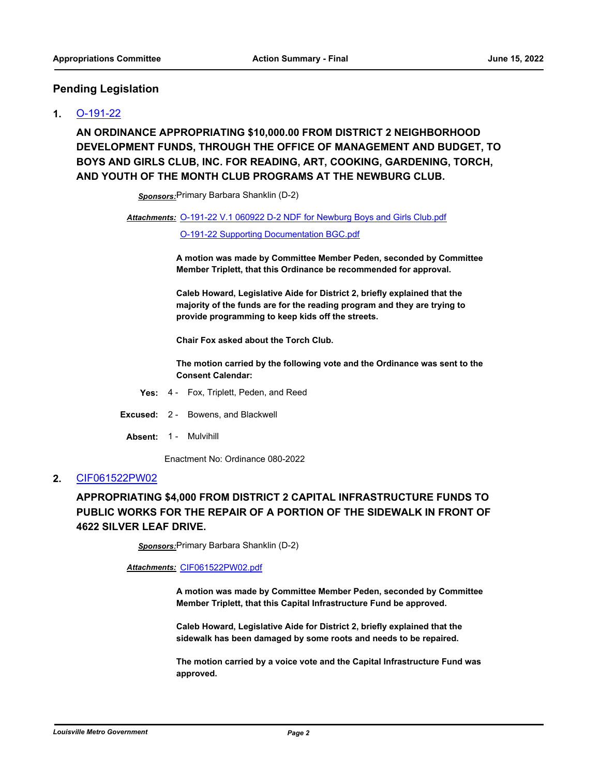### **Pending Legislation**

### **1.** [O-191-22](http://louisville.legistar.com/gateway.aspx?m=l&id=/matter.aspx?key=60384)

**AN ORDINANCE APPROPRIATING \$10,000.00 FROM DISTRICT 2 NEIGHBORHOOD DEVELOPMENT FUNDS, THROUGH THE OFFICE OF MANAGEMENT AND BUDGET, TO BOYS AND GIRLS CLUB, INC. FOR READING, ART, COOKING, GARDENING, TORCH, AND YOUTH OF THE MONTH CLUB PROGRAMS AT THE NEWBURG CLUB.**

*Sponsors:*Primary Barbara Shanklin (D-2)

#### Attachments: [O-191-22 V.1 060922 D-2 NDF for Newburg Boys and Girls Club.pdf](http://louisville.legistar.com/gateway.aspx?M=F&ID=b10caf7e-c5d6-485b-a4b2-95f6c49e9ba8.pdf)

#### [O-191-22 Supporting Documentation BGC.pdf](http://louisville.legistar.com/gateway.aspx?M=F&ID=7464accc-b4f1-4105-8a95-4e637d45a211.pdf)

**A motion was made by Committee Member Peden, seconded by Committee Member Triplett, that this Ordinance be recommended for approval.** 

**Caleb Howard, Legislative Aide for District 2, briefly explained that the majority of the funds are for the reading program and they are trying to provide programming to keep kids off the streets.** 

**Chair Fox asked about the Torch Club.**

**The motion carried by the following vote and the Ordinance was sent to the Consent Calendar:**

- **Yes:** 4 Fox, Triplett, Peden, and Reed
- **Excused:** 2 Bowens, and Blackwell
- **Absent:** 1 Mulvihill

Enactment No: Ordinance 080-2022

#### **2.** [CIF061522PW02](http://louisville.legistar.com/gateway.aspx?m=l&id=/matter.aspx?key=60350)

# **APPROPRIATING \$4,000 FROM DISTRICT 2 CAPITAL INFRASTRUCTURE FUNDS TO PUBLIC WORKS FOR THE REPAIR OF A PORTION OF THE SIDEWALK IN FRONT OF 4622 SILVER LEAF DRIVE.**

*Sponsors:*Primary Barbara Shanklin (D-2)

*Attachments:* [CIF061522PW02.pdf](http://louisville.legistar.com/gateway.aspx?M=F&ID=fb9b898e-d409-4cfc-acd7-ea8191b59a55.pdf)

**A motion was made by Committee Member Peden, seconded by Committee Member Triplett, that this Capital Infrastructure Fund be approved.**

**Caleb Howard, Legislative Aide for District 2, briefly explained that the sidewalk has been damaged by some roots and needs to be repaired.** 

**The motion carried by a voice vote and the Capital Infrastructure Fund was approved.**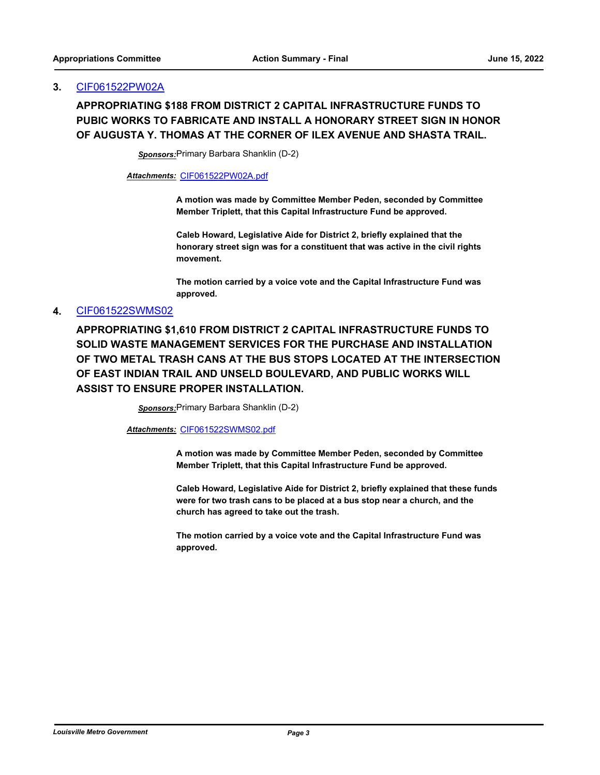#### **3.** [CIF061522PW02A](http://louisville.legistar.com/gateway.aspx?m=l&id=/matter.aspx?key=60662)

# **APPROPRIATING \$188 FROM DISTRICT 2 CAPITAL INFRASTRUCTURE FUNDS TO PUBIC WORKS TO FABRICATE AND INSTALL A HONORARY STREET SIGN IN HONOR OF AUGUSTA Y. THOMAS AT THE CORNER OF ILEX AVENUE AND SHASTA TRAIL.**

*Sponsors:*Primary Barbara Shanklin (D-2)

*Attachments:* [CIF061522PW02A.pdf](http://louisville.legistar.com/gateway.aspx?M=F&ID=fcda90db-1670-4e5e-9866-5838a289cb1f.pdf)

**A motion was made by Committee Member Peden, seconded by Committee Member Triplett, that this Capital Infrastructure Fund be approved.**

**Caleb Howard, Legislative Aide for District 2, briefly explained that the honorary street sign was for a constituent that was active in the civil rights movement.** 

**The motion carried by a voice vote and the Capital Infrastructure Fund was approved.**

#### **4.** [CIF061522SWMS02](http://louisville.legistar.com/gateway.aspx?m=l&id=/matter.aspx?key=60385)

**APPROPRIATING \$1,610 FROM DISTRICT 2 CAPITAL INFRASTRUCTURE FUNDS TO SOLID WASTE MANAGEMENT SERVICES FOR THE PURCHASE AND INSTALLATION OF TWO METAL TRASH CANS AT THE BUS STOPS LOCATED AT THE INTERSECTION OF EAST INDIAN TRAIL AND UNSELD BOULEVARD, AND PUBLIC WORKS WILL ASSIST TO ENSURE PROPER INSTALLATION.**

*Sponsors:*Primary Barbara Shanklin (D-2)

*Attachments:* [CIF061522SWMS02.pdf](http://louisville.legistar.com/gateway.aspx?M=F&ID=b2f6aa58-0a6e-4129-8242-538ddad4ceda.pdf)

**A motion was made by Committee Member Peden, seconded by Committee Member Triplett, that this Capital Infrastructure Fund be approved.**

**Caleb Howard, Legislative Aide for District 2, briefly explained that these funds were for two trash cans to be placed at a bus stop near a church, and the church has agreed to take out the trash.** 

**The motion carried by a voice vote and the Capital Infrastructure Fund was approved.**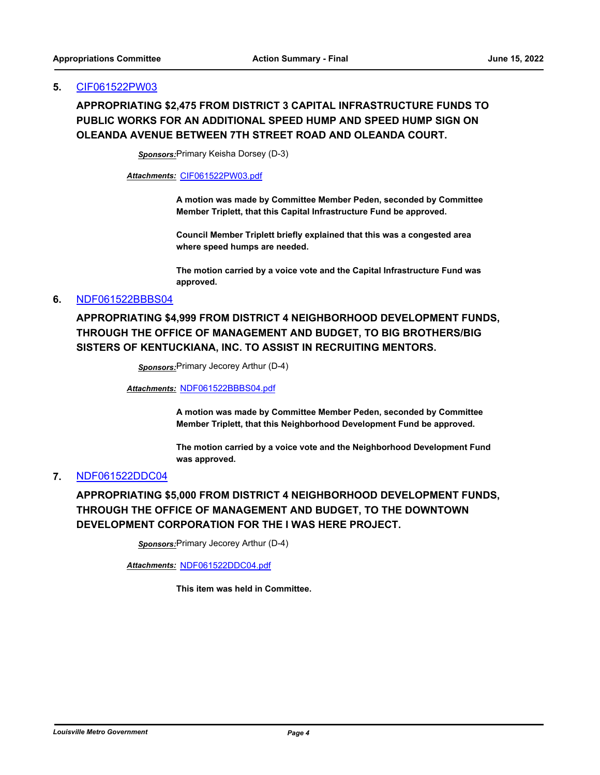#### **5.** [CIF061522PW03](http://louisville.legistar.com/gateway.aspx?m=l&id=/matter.aspx?key=60657)

# **APPROPRIATING \$2,475 FROM DISTRICT 3 CAPITAL INFRASTRUCTURE FUNDS TO PUBLIC WORKS FOR AN ADDITIONAL SPEED HUMP AND SPEED HUMP SIGN ON OLEANDA AVENUE BETWEEN 7TH STREET ROAD AND OLEANDA COURT.**

*Sponsors:*Primary Keisha Dorsey (D-3)

*Attachments:* [CIF061522PW03.pdf](http://louisville.legistar.com/gateway.aspx?M=F&ID=71d35c65-e7c1-46bd-8387-e39258abeadb.pdf)

**A motion was made by Committee Member Peden, seconded by Committee Member Triplett, that this Capital Infrastructure Fund be approved.**

**Council Member Triplett briefly explained that this was a congested area where speed humps are needed.** 

**The motion carried by a voice vote and the Capital Infrastructure Fund was approved.**

#### **6.** [NDF061522BBBS04](http://louisville.legistar.com/gateway.aspx?m=l&id=/matter.aspx?key=60663)

**APPROPRIATING \$4,999 FROM DISTRICT 4 NEIGHBORHOOD DEVELOPMENT FUNDS, THROUGH THE OFFICE OF MANAGEMENT AND BUDGET, TO BIG BROTHERS/BIG SISTERS OF KENTUCKIANA, INC. TO ASSIST IN RECRUITING MENTORS.**

*Sponsors:*Primary Jecorey Arthur (D-4)

*Attachments:* [NDF061522BBBS04.pdf](http://louisville.legistar.com/gateway.aspx?M=F&ID=1690d2d2-33ab-449d-98ce-c33170471bdb.pdf)

**A motion was made by Committee Member Peden, seconded by Committee Member Triplett, that this Neighborhood Development Fund be approved.**

**The motion carried by a voice vote and the Neighborhood Development Fund was approved.**

#### **7.** [NDF061522DDC04](http://louisville.legistar.com/gateway.aspx?m=l&id=/matter.aspx?key=60664)

**APPROPRIATING \$5,000 FROM DISTRICT 4 NEIGHBORHOOD DEVELOPMENT FUNDS, THROUGH THE OFFICE OF MANAGEMENT AND BUDGET, TO THE DOWNTOWN DEVELOPMENT CORPORATION FOR THE I WAS HERE PROJECT.**

*Sponsors:*Primary Jecorey Arthur (D-4)

*Attachments:* [NDF061522DDC04.pdf](http://louisville.legistar.com/gateway.aspx?M=F&ID=d99d6629-327a-4945-987b-aa9e67f529ee.pdf)

**This item was held in Committee.**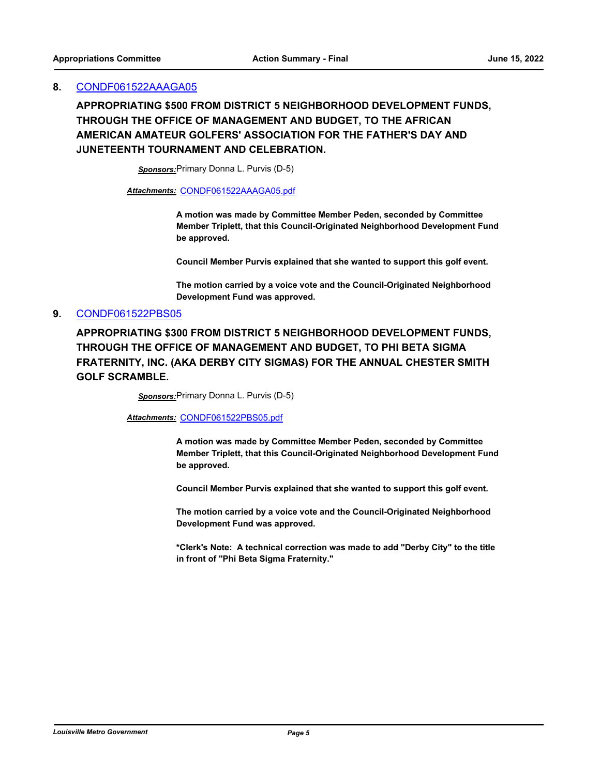#### **8.** [CONDF061522AAAGA05](http://louisville.legistar.com/gateway.aspx?m=l&id=/matter.aspx?key=60404)

**APPROPRIATING \$500 FROM DISTRICT 5 NEIGHBORHOOD DEVELOPMENT FUNDS, THROUGH THE OFFICE OF MANAGEMENT AND BUDGET, TO THE AFRICAN AMERICAN AMATEUR GOLFERS' ASSOCIATION FOR THE FATHER'S DAY AND JUNETEENTH TOURNAMENT AND CELEBRATION.**

*Sponsors:*Primary Donna L. Purvis (D-5)

*Attachments:* [CONDF061522AAAGA05.pdf](http://louisville.legistar.com/gateway.aspx?M=F&ID=67994300-34c0-465e-a27b-410b3750790e.pdf)

**A motion was made by Committee Member Peden, seconded by Committee Member Triplett, that this Council-Originated Neighborhood Development Fund be approved.**

**Council Member Purvis explained that she wanted to support this golf event.** 

**The motion carried by a voice vote and the Council-Originated Neighborhood Development Fund was approved.**

#### **9.** [CONDF061522PBS05](http://louisville.legistar.com/gateway.aspx?m=l&id=/matter.aspx?key=60405)

**APPROPRIATING \$300 FROM DISTRICT 5 NEIGHBORHOOD DEVELOPMENT FUNDS, THROUGH THE OFFICE OF MANAGEMENT AND BUDGET, TO PHI BETA SIGMA FRATERNITY, INC. (AKA DERBY CITY SIGMAS) FOR THE ANNUAL CHESTER SMITH GOLF SCRAMBLE.**

*Sponsors:*Primary Donna L. Purvis (D-5)

*Attachments:* [CONDF061522PBS05.pdf](http://louisville.legistar.com/gateway.aspx?M=F&ID=2c719dc8-232b-402e-8cad-a825caf417e4.pdf)

**A motion was made by Committee Member Peden, seconded by Committee Member Triplett, that this Council-Originated Neighborhood Development Fund be approved.**

**Council Member Purvis explained that she wanted to support this golf event.** 

**The motion carried by a voice vote and the Council-Originated Neighborhood Development Fund was approved.**

**\*Clerk's Note: A technical correction was made to add "Derby City" to the title in front of "Phi Beta Sigma Fraternity."**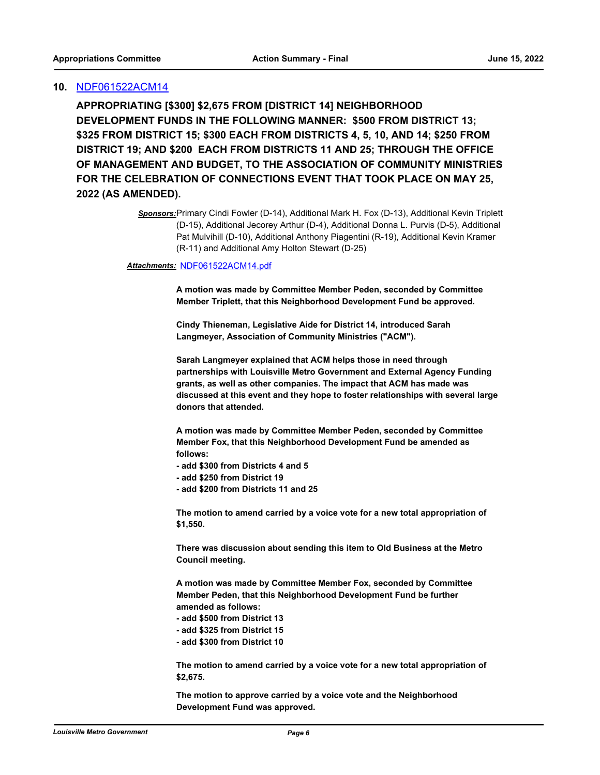#### **10.** [NDF061522ACM14](http://louisville.legistar.com/gateway.aspx?m=l&id=/matter.aspx?key=60675)

**APPROPRIATING [\$300] \$2,675 FROM [DISTRICT 14] NEIGHBORHOOD DEVELOPMENT FUNDS IN THE FOLLOWING MANNER: \$500 FROM DISTRICT 13; \$325 FROM DISTRICT 15; \$300 EACH FROM DISTRICTS 4, 5, 10, AND 14; \$250 FROM DISTRICT 19; AND \$200 EACH FROM DISTRICTS 11 AND 25; THROUGH THE OFFICE OF MANAGEMENT AND BUDGET, TO THE ASSOCIATION OF COMMUNITY MINISTRIES FOR THE CELEBRATION OF CONNECTIONS EVENT THAT TOOK PLACE ON MAY 25, 2022 (AS AMENDED).**

#### *Attachments:* [NDF061522ACM14.pdf](http://louisville.legistar.com/gateway.aspx?M=F&ID=24b41ba7-b80e-412a-b3f9-d1bbb74c4962.pdf)

**A motion was made by Committee Member Peden, seconded by Committee Member Triplett, that this Neighborhood Development Fund be approved.**

**Cindy Thieneman, Legislative Aide for District 14, introduced Sarah Langmeyer, Association of Community Ministries ("ACM").** 

**Sarah Langmeyer explained that ACM helps those in need through partnerships with Louisville Metro Government and External Agency Funding grants, as well as other companies. The impact that ACM has made was discussed at this event and they hope to foster relationships with several large donors that attended.** 

**A motion was made by Committee Member Peden, seconded by Committee Member Fox, that this Neighborhood Development Fund be amended as follows:**

**- add \$300 from Districts 4 and 5**

**- add \$250 from District 19**

**- add \$200 from Districts 11 and 25**

**The motion to amend carried by a voice vote for a new total appropriation of \$1,550.**

**There was discussion about sending this item to Old Business at the Metro Council meeting.** 

**A motion was made by Committee Member Fox, seconded by Committee Member Peden, that this Neighborhood Development Fund be further amended as follows:**

**- add \$500 from District 13**

**- add \$325 from District 15**

**- add \$300 from District 10**

**The motion to amend carried by a voice vote for a new total appropriation of \$2,675.**

**The motion to approve carried by a voice vote and the Neighborhood Development Fund was approved.**

*Sponsors:*Primary Cindi Fowler (D-14), Additional Mark H. Fox (D-13), Additional Kevin Triplett (D-15), Additional Jecorey Arthur (D-4), Additional Donna L. Purvis (D-5), Additional Pat Mulvihill (D-10), Additional Anthony Piagentini (R-19), Additional Kevin Kramer (R-11) and Additional Amy Holton Stewart (D-25)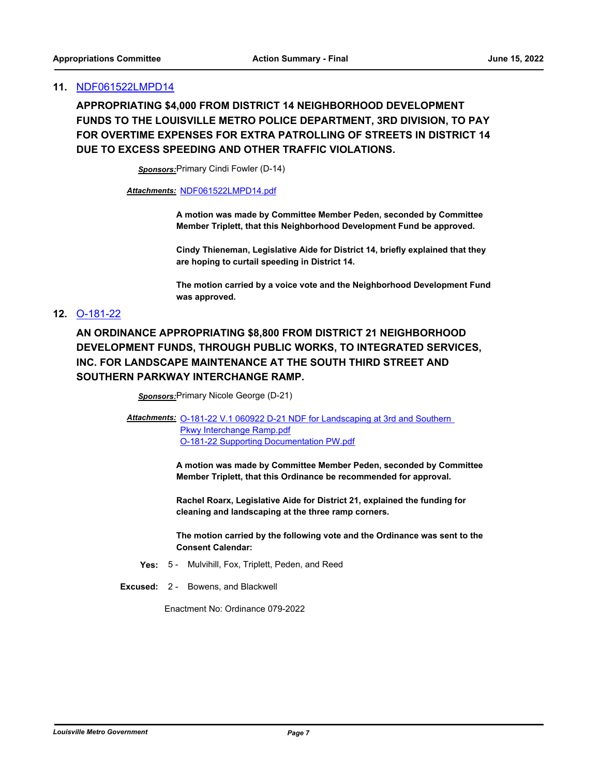#### **11.** [NDF061522LMPD14](http://louisville.legistar.com/gateway.aspx?m=l&id=/matter.aspx?key=60686)

**APPROPRIATING \$4,000 FROM DISTRICT 14 NEIGHBORHOOD DEVELOPMENT FUNDS TO THE LOUISVILLE METRO POLICE DEPARTMENT, 3RD DIVISION, TO PAY FOR OVERTIME EXPENSES FOR EXTRA PATROLLING OF STREETS IN DISTRICT 14 DUE TO EXCESS SPEEDING AND OTHER TRAFFIC VIOLATIONS.**

*Sponsors:*Primary Cindi Fowler (D-14)

*Attachments:* [NDF061522LMPD14.pdf](http://louisville.legistar.com/gateway.aspx?M=F&ID=8320cad6-38e6-4c3e-b0ab-c1ca0ad5c8f6.pdf)

**A motion was made by Committee Member Peden, seconded by Committee Member Triplett, that this Neighborhood Development Fund be approved.**

**Cindy Thieneman, Legislative Aide for District 14, briefly explained that they are hoping to curtail speeding in District 14.**

**The motion carried by a voice vote and the Neighborhood Development Fund was approved.**

## **12.** [O-181-22](http://louisville.legistar.com/gateway.aspx?m=l&id=/matter.aspx?key=60353)

**AN ORDINANCE APPROPRIATING \$8,800 FROM DISTRICT 21 NEIGHBORHOOD DEVELOPMENT FUNDS, THROUGH PUBLIC WORKS, TO INTEGRATED SERVICES, INC. FOR LANDSCAPE MAINTENANCE AT THE SOUTH THIRD STREET AND SOUTHERN PARKWAY INTERCHANGE RAMP.**

*Sponsors:*Primary Nicole George (D-21)

Attachments: **O-181-22 V.1 060922 D-21 NDF** for Landscaping at 3rd and Southern **Pkwy Interchange Ramp.pdf** [O-181-22 Supporting Documentation PW.pdf](http://louisville.legistar.com/gateway.aspx?M=F&ID=5be9bdfe-62ed-4103-bc5a-fac356626bba.pdf)

> **A motion was made by Committee Member Peden, seconded by Committee Member Triplett, that this Ordinance be recommended for approval.**

**Rachel Roarx, Legislative Aide for District 21, explained the funding for cleaning and landscaping at the three ramp corners.** 

**The motion carried by the following vote and the Ordinance was sent to the Consent Calendar:**

- **Yes:** 5 Mulvihill, Fox, Triplett, Peden, and Reed
- **Excused:** 2 Bowens, and Blackwell

Enactment No: Ordinance 079-2022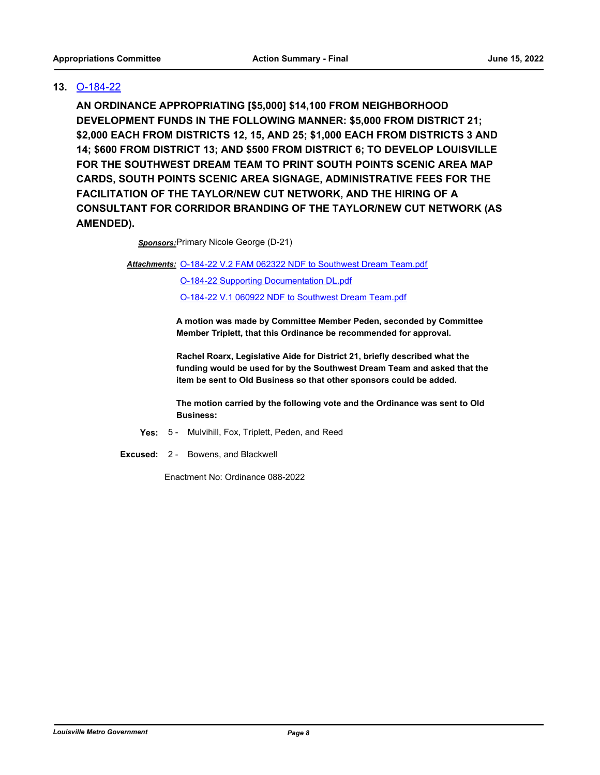## **13.** [O-184-22](http://louisville.legistar.com/gateway.aspx?m=l&id=/matter.aspx?key=60376)

**AN ORDINANCE APPROPRIATING [\$5,000] \$14,100 FROM NEIGHBORHOOD DEVELOPMENT FUNDS IN THE FOLLOWING MANNER: \$5,000 FROM DISTRICT 21; \$2,000 EACH FROM DISTRICTS 12, 15, AND 25; \$1,000 EACH FROM DISTRICTS 3 AND 14; \$600 FROM DISTRICT 13; AND \$500 FROM DISTRICT 6; TO DEVELOP LOUISVILLE FOR THE SOUTHWEST DREAM TEAM TO PRINT SOUTH POINTS SCENIC AREA MAP CARDS, SOUTH POINTS SCENIC AREA SIGNAGE, ADMINISTRATIVE FEES FOR THE FACILITATION OF THE TAYLOR/NEW CUT NETWORK, AND THE HIRING OF A CONSULTANT FOR CORRIDOR BRANDING OF THE TAYLOR/NEW CUT NETWORK (AS AMENDED).**

*Sponsors:*Primary Nicole George (D-21)

Attachments: [O-184-22 V.2 FAM 062322 NDF to Southwest Dream Team.pdf](http://louisville.legistar.com/gateway.aspx?M=F&ID=51f6d37d-f1e2-4689-bb19-2d44bb3e6c9b.pdf)

[O-184-22 Supporting Documentation DL.pdf](http://louisville.legistar.com/gateway.aspx?M=F&ID=a3a0dc93-f96a-41d9-98b4-1c1631f0cd28.pdf) [O-184-22 V.1 060922 NDF to Southwest Dream Team.pdf](http://louisville.legistar.com/gateway.aspx?M=F&ID=04aad663-2bdf-4750-b44a-d4f11f53ee10.pdf)

**A motion was made by Committee Member Peden, seconded by Committee Member Triplett, that this Ordinance be recommended for approval.** 

**Rachel Roarx, Legislative Aide for District 21, briefly described what the funding would be used for by the Southwest Dream Team and asked that the item be sent to Old Business so that other sponsors could be added.** 

**The motion carried by the following vote and the Ordinance was sent to Old Business:**

- **Yes:** 5 Mulvihill, Fox, Triplett, Peden, and Reed
- **Excused:** 2 Bowens, and Blackwell

Enactment No: Ordinance 088-2022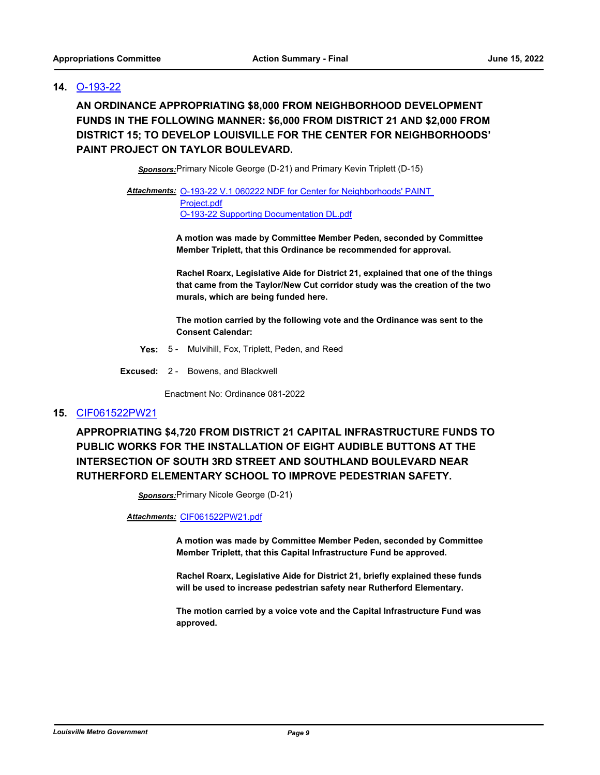### **14.** [O-193-22](http://louisville.legistar.com/gateway.aspx?m=l&id=/matter.aspx?key=60397)

**AN ORDINANCE APPROPRIATING \$8,000 FROM NEIGHBORHOOD DEVELOPMENT FUNDS IN THE FOLLOWING MANNER: \$6,000 FROM DISTRICT 21 AND \$2,000 FROM DISTRICT 15; TO DEVELOP LOUISVILLE FOR THE CENTER FOR NEIGHBORHOODS' PAINT PROJECT ON TAYLOR BOULEVARD.**

*Sponsors:*Primary Nicole George (D-21) and Primary Kevin Triplett (D-15)

Attachments: O-193-22 V.1 060222 NDF for Center for Neighborhoods' PAINT Project.pdf [O-193-22 Supporting Documentation DL.pdf](http://louisville.legistar.com/gateway.aspx?M=F&ID=c574d4fa-6ed0-4e78-8b80-70ed57eee277.pdf)

> **A motion was made by Committee Member Peden, seconded by Committee Member Triplett, that this Ordinance be recommended for approval.**

**Rachel Roarx, Legislative Aide for District 21, explained that one of the things that came from the Taylor/New Cut corridor study was the creation of the two murals, which are being funded here.** 

**The motion carried by the following vote and the Ordinance was sent to the Consent Calendar:**

- **Yes:** 5 Mulvihill, Fox, Triplett, Peden, and Reed
- **Excused:** 2 Bowens, and Blackwell

Enactment No: Ordinance 081-2022

#### **15.** [CIF061522PW21](http://louisville.legistar.com/gateway.aspx?m=l&id=/matter.aspx?key=60691)

**APPROPRIATING \$4,720 FROM DISTRICT 21 CAPITAL INFRASTRUCTURE FUNDS TO PUBLIC WORKS FOR THE INSTALLATION OF EIGHT AUDIBLE BUTTONS AT THE INTERSECTION OF SOUTH 3RD STREET AND SOUTHLAND BOULEVARD NEAR RUTHERFORD ELEMENTARY SCHOOL TO IMPROVE PEDESTRIAN SAFETY.**

*Sponsors:*Primary Nicole George (D-21)

*Attachments:* [CIF061522PW21.pdf](http://louisville.legistar.com/gateway.aspx?M=F&ID=2b3da1b9-96ec-4e89-b5a9-a99f1f55e89d.pdf)

**A motion was made by Committee Member Peden, seconded by Committee Member Triplett, that this Capital Infrastructure Fund be approved.**

**Rachel Roarx, Legislative Aide for District 21, briefly explained these funds will be used to increase pedestrian safety near Rutherford Elementary.**

**The motion carried by a voice vote and the Capital Infrastructure Fund was approved.**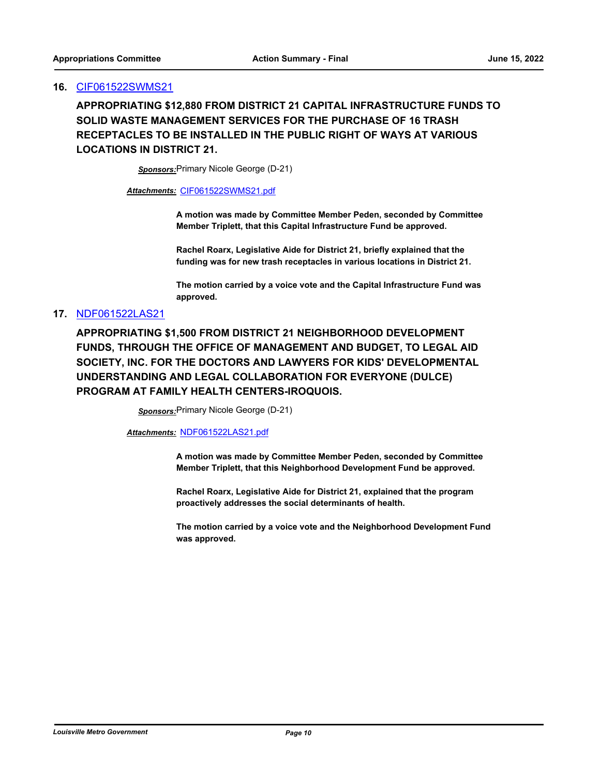#### **16.** [CIF061522SWMS21](http://louisville.legistar.com/gateway.aspx?m=l&id=/matter.aspx?key=60688)

**APPROPRIATING \$12,880 FROM DISTRICT 21 CAPITAL INFRASTRUCTURE FUNDS TO SOLID WASTE MANAGEMENT SERVICES FOR THE PURCHASE OF 16 TRASH RECEPTACLES TO BE INSTALLED IN THE PUBLIC RIGHT OF WAYS AT VARIOUS LOCATIONS IN DISTRICT 21.**

*Sponsors:*Primary Nicole George (D-21)

#### *Attachments:* [CIF061522SWMS21.pdf](http://louisville.legistar.com/gateway.aspx?M=F&ID=6c11695e-a4e1-4bd8-8162-430a0f41cf15.pdf)

**A motion was made by Committee Member Peden, seconded by Committee Member Triplett, that this Capital Infrastructure Fund be approved.**

**Rachel Roarx, Legislative Aide for District 21, briefly explained that the funding was for new trash receptacles in various locations in District 21.**

**The motion carried by a voice vote and the Capital Infrastructure Fund was approved.**

#### **17.** [NDF061522LAS21](http://louisville.legistar.com/gateway.aspx?m=l&id=/matter.aspx?key=60372)

**APPROPRIATING \$1,500 FROM DISTRICT 21 NEIGHBORHOOD DEVELOPMENT FUNDS, THROUGH THE OFFICE OF MANAGEMENT AND BUDGET, TO LEGAL AID SOCIETY, INC. FOR THE DOCTORS AND LAWYERS FOR KIDS' DEVELOPMENTAL UNDERSTANDING AND LEGAL COLLABORATION FOR EVERYONE (DULCE) PROGRAM AT FAMILY HEALTH CENTERS-IROQUOIS.**

*Sponsors:*Primary Nicole George (D-21)

*Attachments:* [NDF061522LAS21.pdf](http://louisville.legistar.com/gateway.aspx?M=F&ID=2744f4b7-095a-482a-beae-ec8eef0097d6.pdf)

**A motion was made by Committee Member Peden, seconded by Committee Member Triplett, that this Neighborhood Development Fund be approved.**

**Rachel Roarx, Legislative Aide for District 21, explained that the program proactively addresses the social determinants of health.** 

**The motion carried by a voice vote and the Neighborhood Development Fund was approved.**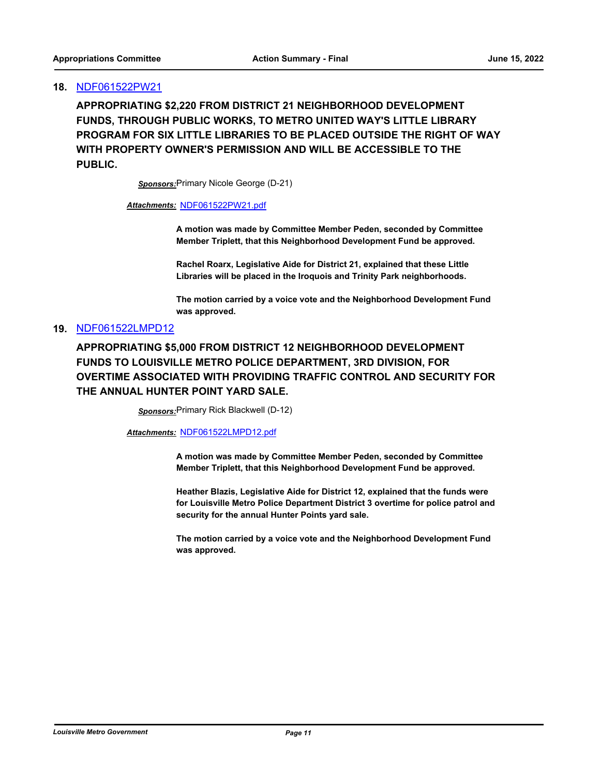#### **18.** [NDF061522PW21](http://louisville.legistar.com/gateway.aspx?m=l&id=/matter.aspx?key=60687)

**APPROPRIATING \$2,220 FROM DISTRICT 21 NEIGHBORHOOD DEVELOPMENT FUNDS, THROUGH PUBLIC WORKS, TO METRO UNITED WAY'S LITTLE LIBRARY PROGRAM FOR SIX LITTLE LIBRARIES TO BE PLACED OUTSIDE THE RIGHT OF WAY WITH PROPERTY OWNER'S PERMISSION AND WILL BE ACCESSIBLE TO THE PUBLIC.**

*Sponsors:*Primary Nicole George (D-21)

## *Attachments:* [NDF061522PW21.pdf](http://louisville.legistar.com/gateway.aspx?M=F&ID=321e42de-24e5-483d-a68d-10913c092fae.pdf)

**A motion was made by Committee Member Peden, seconded by Committee Member Triplett, that this Neighborhood Development Fund be approved.**

**Rachel Roarx, Legislative Aide for District 21, explained that these Little Libraries will be placed in the Iroquois and Trinity Park neighborhoods.** 

**The motion carried by a voice vote and the Neighborhood Development Fund was approved.**

#### **19.** [NDF061522LMPD12](http://louisville.legistar.com/gateway.aspx?m=l&id=/matter.aspx?key=60403)

**APPROPRIATING \$5,000 FROM DISTRICT 12 NEIGHBORHOOD DEVELOPMENT FUNDS TO LOUISVILLE METRO POLICE DEPARTMENT, 3RD DIVISION, FOR OVERTIME ASSOCIATED WITH PROVIDING TRAFFIC CONTROL AND SECURITY FOR THE ANNUAL HUNTER POINT YARD SALE.**

*Sponsors:*Primary Rick Blackwell (D-12)

*Attachments:* [NDF061522LMPD12.pdf](http://louisville.legistar.com/gateway.aspx?M=F&ID=df887be2-ab83-4cbb-9ddb-951adbc9a793.pdf)

**A motion was made by Committee Member Peden, seconded by Committee Member Triplett, that this Neighborhood Development Fund be approved.**

**Heather Blazis, Legislative Aide for District 12, explained that the funds were for Louisville Metro Police Department District 3 overtime for police patrol and security for the annual Hunter Points yard sale.** 

**The motion carried by a voice vote and the Neighborhood Development Fund was approved.**